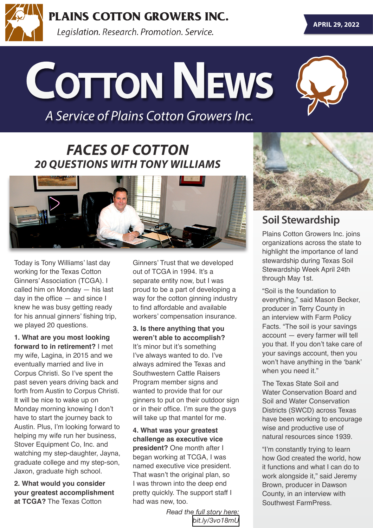

**PLAINS COTTON GROWERS INC.** 

Legislation. Research. Promotion. Service.

# **Cotton News**

*A Service of Plains Cotton Growers Inc.*



### *FACES OF COTTON 20 QUESTIONS WITH TONY WILLIAMS*



Today is Tony Williams' last day working for the Texas Cotton Ginners' Association (TCGA). I called him on Monday — his last day in the office — and since I knew he was busy getting ready for his annual ginners' fishing trip, we played 20 questions.

**1. What are you most looking forward to in retirement?** I met my wife, Lagina, in 2015 and we eventually married and live in Corpus Christi. So I've spent the past seven years driving back and forth from Austin to Corpus Christi. It will be nice to wake up on Monday morning knowing I don't have to start the journey back to Austin. Plus, I'm looking forward to helping my wife run her business, Stover Equipment Co, Inc. and watching my step-daughter, Jayna, graduate college and my step-son, Jaxon, graduate high school.

**2. What would you consider your greatest accomplishment at TCGA?** The Texas Cotton

Ginners' Trust that we developed out of TCGA in 1994. It's a separate entity now, but I was proud to be a part of developing a way for the cotton ginning industry to find affordable and available workers' compensation insurance.

**3. Is there anything that you weren't able to accomplish?** It's minor but it's something I've always wanted to do. I've always admired the Texas and Southwestern Cattle Raisers Program member signs and wanted to provide that for our ginners to put on their outdoor sign or in their office. I'm sure the guys will take up that mantel for me.

**4. What was your greatest challenge as executive vice president?** One month after I began working at TCGA, I was named executive vice president. That wasn't the original plan, so I was thrown into the deep end pretty quickly. The support staff I had was new, too.

> *Read the full story here: [bit.ly/3vo18mU](https://bit.ly/3vo18mU)*



#### **Soil Stewardship**

Plains Cotton Growers Inc. joins organizations across the state to highlight the importance of land stewardship during Texas Soil Stewardship Week April 24th through May 1st.

"Soil is the foundation to everything," said Mason Becker, producer in Terry County in an interview with Farm Policy Facts. "The soil is your savings account — every farmer will tell you that. If you don't take care of your savings account, then you won't have anything in the 'bank' when you need it."

The Texas State Soil and Water Conservation Board and Soil and Water Conservation Districts (SWCD) across Texas have been working to encourage wise and productive use of natural resources since 1939.

"I'm constantly trying to learn how God created the world, how it functions and what I can do to work alongside it," said Jeremy Brown, producer in Dawson County, in an interview with Southwest FarmPress.